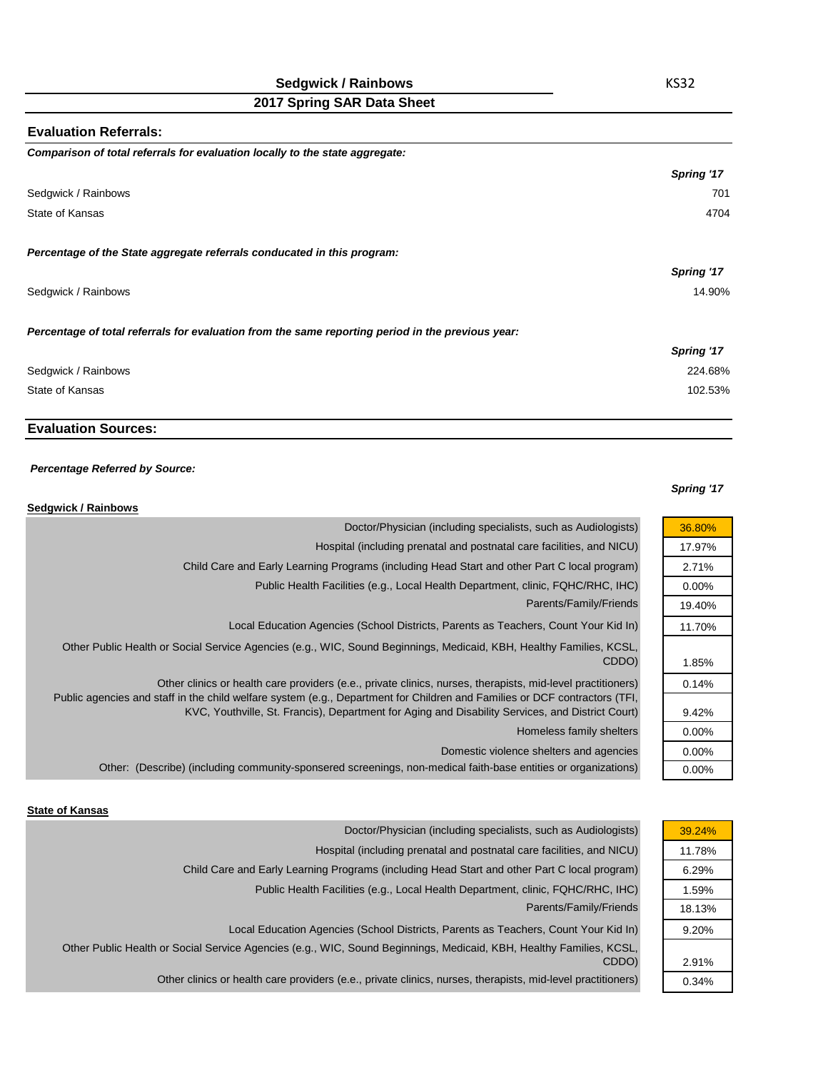## **Sedgwick / Rainbows**

# **2017 Spring SAR Data Sheet**

| <b>Evaluation Referrals:</b>                                                                      |            |
|---------------------------------------------------------------------------------------------------|------------|
| Comparison of total referrals for evaluation locally to the state aggregate:                      |            |
|                                                                                                   | Spring '17 |
| Sedgwick / Rainbows                                                                               | 701        |
| State of Kansas                                                                                   | 4704       |
| Percentage of the State aggregate referrals conducated in this program:                           |            |
|                                                                                                   | Spring '17 |
| Sedgwick / Rainbows                                                                               | 14.90%     |
| Percentage of total referrals for evaluation from the same reporting period in the previous year: |            |
|                                                                                                   | Spring '17 |
| Sedgwick / Rainbows                                                                               | 224.68%    |
| State of Kansas                                                                                   | 102.53%    |
|                                                                                                   |            |

## **Evaluation Sources:**

#### *Percentage Referred by Source:*

#### *Spring '17*

36.80% 17.97% 2.71% 0.00% 19.40% 11.70%

1.85% 0.14%

9.42% 0.00% 0.00% 0.00%

| Sedgwick / Rainbows                                                                                                                                                                                                                                                                                                                           |
|-----------------------------------------------------------------------------------------------------------------------------------------------------------------------------------------------------------------------------------------------------------------------------------------------------------------------------------------------|
| Doctor/Physician (including specialists, such as Audiologists)                                                                                                                                                                                                                                                                                |
| Hospital (including prenatal and postnatal care facilities, and NICU)                                                                                                                                                                                                                                                                         |
| Child Care and Early Learning Programs (including Head Start and other Part C local program)                                                                                                                                                                                                                                                  |
| Public Health Facilities (e.g., Local Health Department, clinic, FQHC/RHC, IHC)                                                                                                                                                                                                                                                               |
| Parents/Family/Friends                                                                                                                                                                                                                                                                                                                        |
| Local Education Agencies (School Districts, Parents as Teachers, Count Your Kid In)                                                                                                                                                                                                                                                           |
| Other Public Health or Social Service Agencies (e.g., WIC, Sound Beginnings, Medicaid, KBH, Healthy Families, KCSL,<br>CDDO)                                                                                                                                                                                                                  |
| Other clinics or health care providers (e.e., private clinics, nurses, therapists, mid-level practitioners)<br>Public agencies and staff in the child welfare system (e.g., Department for Children and Families or DCF contractors (TFI,<br>KVC, Youthville, St. Francis), Department for Aging and Disability Services, and District Court) |
| Homeless family shelters                                                                                                                                                                                                                                                                                                                      |
| Domestic violence shelters and agencies                                                                                                                                                                                                                                                                                                       |
| Other: (Describe) (including community-sponsered screenings, non-medical faith-base entities or organizations)                                                                                                                                                                                                                                |

#### **State of Kansas**

| Hospital (including prenatal and postnatal care facilities, and NICU)<br>Child Care and Early Learning Programs (including Head Start and other Part C local program)<br>Public Health Facilities (e.g., Local Health Department, clinic, FQHC/RHC, IHC)<br>Parents/Family/Friends<br>Local Education Agencies (School Districts, Parents as Teachers, Count Your Kid In)<br>Other Public Health or Social Service Agencies (e.g., WIC, Sound Beginnings, Medicaid, KBH, Healthy Families, KCSL,<br>CDDO)<br>Other clinics or health care providers (e.e., private clinics, nurses, therapists, mid-level practitioners) | 39.24% | Doctor/Physician (including specialists, such as Audiologists) |
|--------------------------------------------------------------------------------------------------------------------------------------------------------------------------------------------------------------------------------------------------------------------------------------------------------------------------------------------------------------------------------------------------------------------------------------------------------------------------------------------------------------------------------------------------------------------------------------------------------------------------|--------|----------------------------------------------------------------|
|                                                                                                                                                                                                                                                                                                                                                                                                                                                                                                                                                                                                                          | 11.78% |                                                                |
|                                                                                                                                                                                                                                                                                                                                                                                                                                                                                                                                                                                                                          | 6.29%  |                                                                |
|                                                                                                                                                                                                                                                                                                                                                                                                                                                                                                                                                                                                                          | 1.59%  |                                                                |
|                                                                                                                                                                                                                                                                                                                                                                                                                                                                                                                                                                                                                          | 18.13% |                                                                |
|                                                                                                                                                                                                                                                                                                                                                                                                                                                                                                                                                                                                                          | 9.20%  |                                                                |
|                                                                                                                                                                                                                                                                                                                                                                                                                                                                                                                                                                                                                          |        |                                                                |
|                                                                                                                                                                                                                                                                                                                                                                                                                                                                                                                                                                                                                          | 2.91%  |                                                                |
|                                                                                                                                                                                                                                                                                                                                                                                                                                                                                                                                                                                                                          | 0.34%  |                                                                |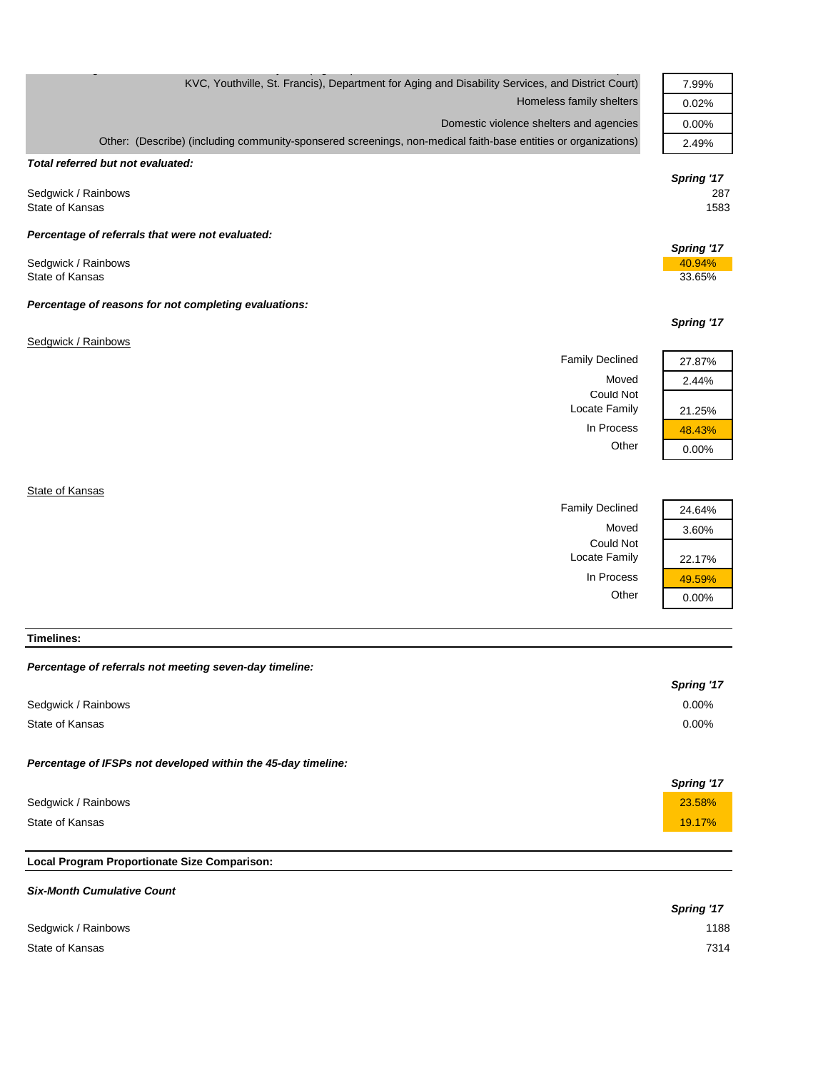| KVC, Youthville, St. Francis), Department for Aging and Disability Services, and District Court)               | 7.99%      |
|----------------------------------------------------------------------------------------------------------------|------------|
| Homeless family shelters                                                                                       | 0.02%      |
| Domestic violence shelters and agencies                                                                        | 0.00%      |
| Other: (Describe) (including community-sponsered screenings, non-medical faith-base entities or organizations) | 2.49%      |
| Total referred but not evaluated:                                                                              |            |
|                                                                                                                | Spring '17 |
| Sedgwick / Rainbows                                                                                            | 287        |
| State of Kansas                                                                                                | 1583       |
| Percentage of referrals that were not evaluated:                                                               |            |
|                                                                                                                | Spring '17 |
| Sedgwick / Rainbows                                                                                            | 40.94%     |
| State of Kansas                                                                                                | 33.65%     |
| Percentage of reasons for not completing evaluations:                                                          |            |
|                                                                                                                | Spring '17 |
|                                                                                                                |            |
| Sedgwick / Rainbows                                                                                            |            |
| <b>Family Declined</b>                                                                                         | 27.87%     |
| Moved                                                                                                          | 2.44%      |
| <b>Could Not</b>                                                                                               |            |
| Locate Family                                                                                                  | 21.25%     |
| In Process                                                                                                     | 48.43%     |
| Other                                                                                                          | 0.00%      |
|                                                                                                                |            |

**State of Kansas** 

| Family Declined            |
|----------------------------|
| Moved                      |
| Could Not<br>Locate Family |
| In Process                 |
| ∩ther                      |



**Timelines:**

## *Percentage of referrals not meeting seven-day timeline:*

|                                                               | <b>Spring '17</b> |
|---------------------------------------------------------------|-------------------|
| Sedgwick / Rainbows                                           | $0.00\%$          |
| State of Kansas                                               | $0.00\%$          |
| Percentage of IFSPs not developed within the 45-day timeline: |                   |
|                                                               | Spring '17        |
| Sedgwick / Rainbows                                           | 23.58%            |
| State of Kansas                                               | 19.17%            |

## **Local Program Proportionate Size Comparison:**

| <b>Six-Month Cumulative Count</b> |            |
|-----------------------------------|------------|
|                                   | Spring '17 |
| Sedgwick / Rainbows               | 1188       |
| State of Kansas                   | 7314       |